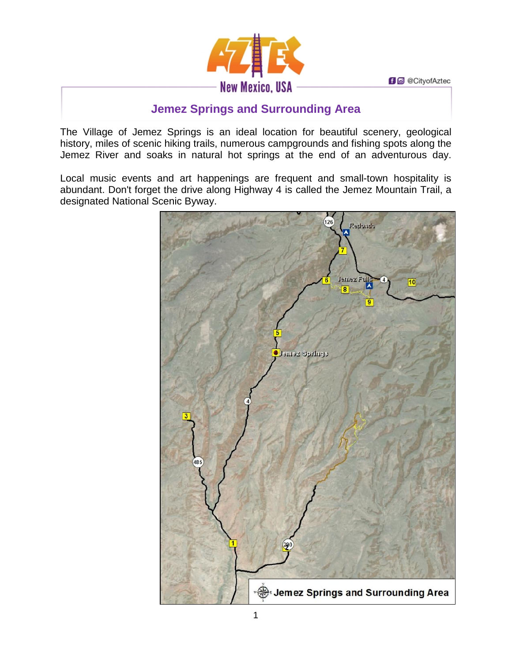**f d** @ CityofAztec



# **Jemez Springs and Surrounding Area**

The Village of Jemez Springs is an ideal location for beautiful scenery, geological history, miles of scenic hiking trails, numerous campgrounds and fishing spots along the Jemez River and soaks in natural hot springs at the end of an adventurous day.

Local music events and art happenings are frequent and small-town hospitality is abundant. Don't forget the drive along Highway 4 is called the Jemez Mountain Trail, a designated National Scenic Byway.

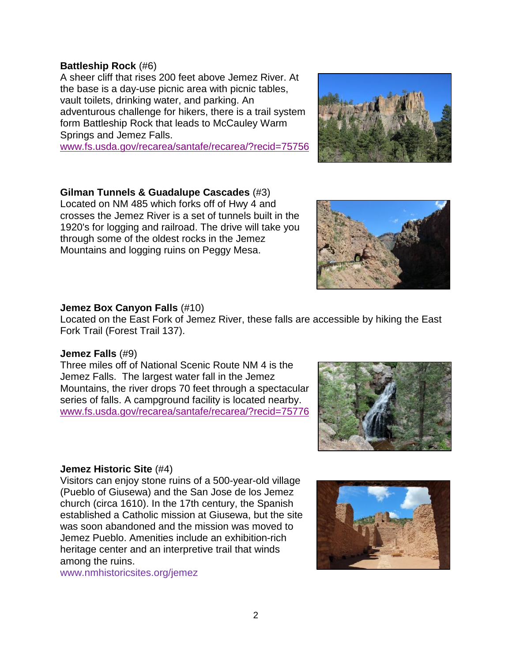### **Battleship Rock** (#6)

A sheer cliff that rises 200 feet above Jemez River. At the base is a day-use picnic area with picnic tables, vault toilets, drinking water, and parking. An adventurous challenge for hikers, there is a trail system form Battleship Rock that leads to McCauley Warm Springs and Jemez Falls.

[www.fs.usda.gov/recarea/santafe/recarea/?recid=75756](http://www.fs.usda.gov/recarea/santafe/recarea/?recid=75756)

# **Gilman Tunnels & Guadalupe Cascades** (#3)

Located on NM 485 which forks off of Hwy 4 and crosses the Jemez River is a set of tunnels built in the 1920's for logging and railroad. The drive will take you through some of the oldest rocks in the Jemez Mountains and logging ruins on Peggy Mesa.

#### **Jemez Box Canyon Falls** (#10)

Located on the East Fork of Jemez River, these falls are accessible by hiking the East Fork Trail (Forest Trail 137).

#### **Jemez Falls** (#9)

Three miles off of National Scenic Route NM 4 is the Jemez Falls. The largest water fall in the Jemez Mountains, the river drops 70 feet through a spectacular series of falls. A campground facility is located nearby. [www.fs.usda.gov/recarea/santafe/recarea/?recid=75776](http://www.fs.usda.gov/recarea/santafe/recarea/?recid=75776)

#### **Jemez Historic Site** (#4)

Visitors can enjoy stone ruins of a 500-year-old village (Pueblo of Giusewa) and the San Jose de los Jemez church (circa 1610). In the 17th century, the Spanish established a Catholic mission at Giusewa, but the site was soon abandoned and the mission was moved to Jemez Pueblo. Amenities include an exhibition-rich heritage center and an interpretive trail that winds among the ruins.

[www.nmhistoricsites.org/jemez](http://www.nmhistoricsites.org/jemez)